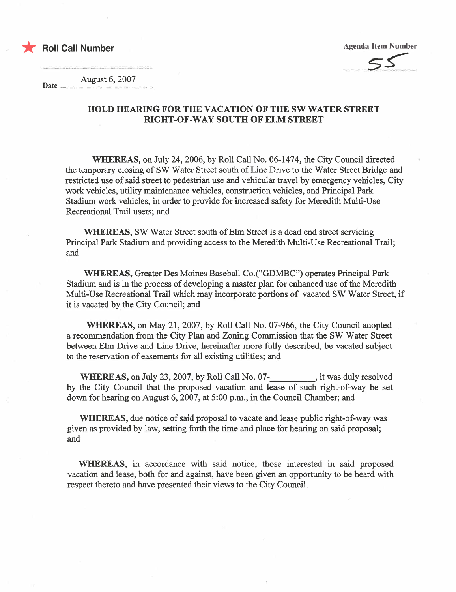



August 6, 2007

Date..................................................................................

## HOLD HEARNG FOR THE VACATION OF THE SW WATER STREET RIGHT-OF-WAY SOUTH OF ELM STREET

WHREAS, on July 24,2006, by Roll Call No. 06-1474, the City Council directed the temporary closing of SW Water Street south of Line Drive to the Water Street Bridge and restricted use of said street to pedestrian use and vehicular travel by emergency vehicles, City work vehicles, utility maintenance vehicles, construction vehicles, and Principal Park Stadium work vehicles, in order to provide for increased safety for Meredith Multi-Use Recreational Trail users; and

WHREAS, SW Water Street south of Elm Street is a dead end street servicing Principal Park Stadium and providing access to the Meredith Multi-Use Recreational Trail; and

WHREAS, Greater Des Moines Baseball Co.("GDMBC") operates Principal Park Stadium and is in the process of developing a master plan for enhanced use of the Meredith Multi-Use Recreational Trail which may incorporate portions of vacated SW Water Street, if it is vacated by the City Council; and

WHREAS, on May 21, 2007, by Roll Call No. 07-966, the City Council adopted a recommendation from the City Plan and Zonig Commission that the SW Water Street between Elm Drive and Line Drive, hereinafer more fully described, be vacated subject to the reservation of easements for all existing utilties; and

WHEREAS, on July 23, 2007, by Roll Call No. 07- , it was duly resolved by the City Council that the proposed vacation and lease of such right-of-way be set down for hearing on August 6, 2007, at 5:00 p.m., in the Council Chamber; and

WHREAS, due notice of said proposal to vacate and lease public right-of-way was given as provided by law, setting forth the time and place for hearing on said proposal; and

WHEREAS, in accordance with said notice, those interested in said proposed vacation and lease, both for and against, have been given an opportunity to be heard with respect thereto and have presented their views to the City CounciL.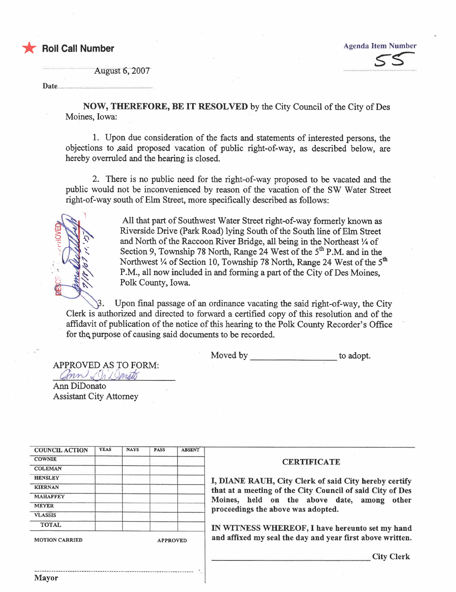

**August 6, 2007** 

Date...

**NOW, THEREFORE, BE IT RESOLVED** by the City Council of the City of Des Moines, Iowa:

1. Upon due consideration of the facts and statements of interested persons, the objections to said proposed vacation of public right-of-way, as described below, are hereby overruled and the hearing is closed.

2. There is no public need for the right-of-way proposed to be vacated and the public would not be inconvenienced by reason of the vacation of the SW Water Street right-of-way south of Elm Street, more specifically described as follows:

> All that part of Southwest Water Street right-of-way formerly known as Riverside Drive (Park Road) lying South of the South line of Elm Street and North of the Raccoon River Bridge, all being in the Northeast 1/4 of Section 9, Township 78 North, Range 24 West of the 5<sup>th</sup> P.M. and in the Northwest 1/4 of Section 10, Township 78 North, Range 24 West of the 5<sup>th</sup> P.M., all now included in and forming a part of the City of Des Moines. Polk County, Iowa.

Upon final passage of an ordinance vacating the said right-of-way, the City Clerk is authorized and directed to forward a certified copy of this resolution and of the affidavit of publication of the notice of this hearing to the Polk County Recorder's Office for the purpose of causing said documents to be recorded.

> Moved by <u>show that the set of the set of the set of the set of the set of the set of the set of the set of the set of the set of the set of the set of the set of the set of the set of the set of the set of the set of the </u> to adopt.

APPROVED AS TO FORM: ann & Ja Donato

Ann DiDonato **Assistant City Attorney** 

| <b>COUNCIL ACTION</b> | <b>YEAS</b> | <b>NAYS</b> | <b>PASS</b> | <b>ABSENT</b> |
|-----------------------|-------------|-------------|-------------|---------------|
| <b>COWNIE</b>         |             |             |             |               |
| <b>COLEMAN</b>        |             |             |             |               |
| <b>HENSLEY</b>        |             |             |             |               |
| <b>KIERNAN</b>        |             |             |             |               |
| <b>MAHAFFEY</b>       |             |             |             |               |
| <b>MEYER</b>          |             |             |             |               |
| <b>VLASSIS</b>        |             |             |             |               |
| <b>TOTAL</b>          |             |             |             |               |

## **CERTIFICATE**

I, DIANE RAUH, City Clerk of said City hereby certify that at a meeting of the City Council of said City of Des Moines, held on the above date, among other proceedings the above was adopted.

IN WITNESS WHEREOF, I have hereunto set my hand and affixed my seal the day and year first above written.

**City Clerk**